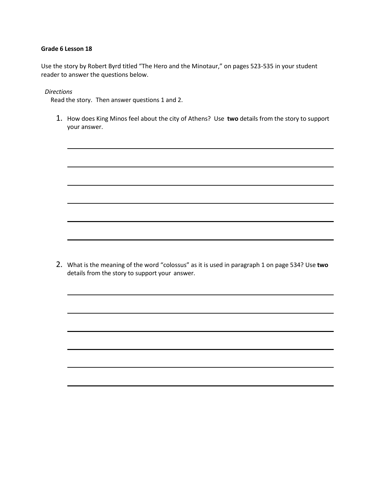#### **Grade 6 Lesson 18**

Use the story by Robert Byrd titled "The Hero and the Minotaur," on pages 523-535 in your student reader to answer the questions below.

*Directions*

Read the story. Then answer questions 1 and 2.

1. How does King Minos feel about the city of Athens? Use **two** details from the story to support your answer.

2. What is the meaning of the word "colossus" as it is used in paragraph 1 on page 534? Use **two** details from the story to support your answer.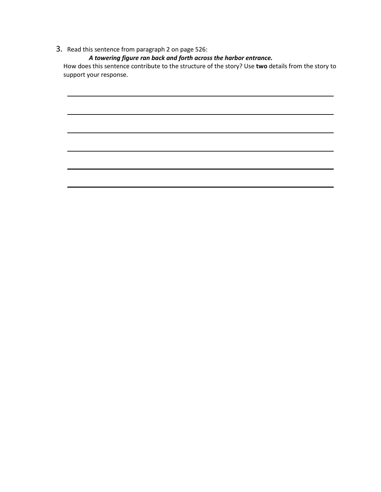# 3. Read this sentence from paragraph 2 on page 526:

 *A towering figure ran back and forth across the harbor entrance.*

How does this sentence contribute to the structure of the story? Use **two** details from the story to support your response.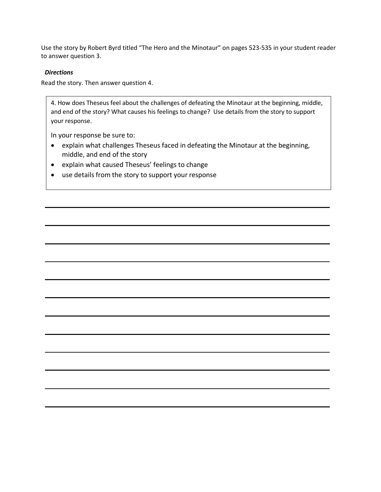Use the story by Robert Byrd titled "The Hero and the Minotaur" on pages 523-535 in your student reader to answer question 3.

#### *Directions*

Read the story. Then answer question 4.

4. How does Theseus feel about the challenges of defeating the Minotaur at the beginning, middle, and end of the story? What causes his feelings to change? Use details from the story to support your response.

In your response be sure to:

- explain what challenges Theseus faced in defeating the Minotaur at the beginning, middle, and end of the story
- explain what caused Theseus' feelings to change
- use details from the story to support your response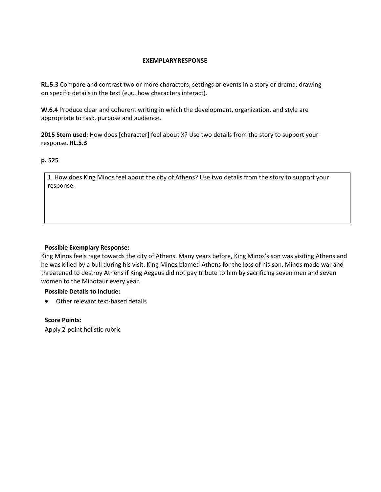## **EXEMPLARYRESPONSE**

**RL.5.3** Compare and contrast two or more characters, settings or events in a story or drama, drawing on specific details in the text (e.g., how characters interact).

**W.6.4** Produce clear and coherent writing in which the development, organization, and style are appropriate to task, purpose and audience.

**2015 Stem used:** How does [character] feel about X? Use two details from the story to support your response. **RL.5.3**

## **p. 525**

1. How does King Minos feel about the city of Athens? Use two details from the story to support your response.

## **Possible Exemplary Response:**

King Minos feels rage towards the city of Athens. Many years before, King Minos's son was visiting Athens and he was killed by a bull during his visit. King Minos blamed Athens for the loss of his son. Minos made war and threatened to destroy Athens if King Aegeus did not pay tribute to him by sacrificing seven men and seven women to the Minotaur every year.

## **Possible Details to Include:**

• Other relevant text-based details

## **Score Points:**

Apply 2-point holistic rubric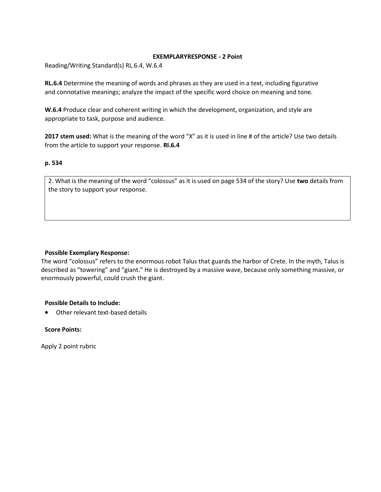#### **EXEMPLARYRESPONSE - 2 Point**

Reading/Writing Standard(s) RL.6.4, W.6.4

**RL.6.4** Determine the meaning of words and phrases as they are used in a text, including figurative and connotative meanings; analyze the impact of the specific word choice on meaning and tone.

**W.6.4** Produce clear and coherent writing in which the development, organization, and style are appropriate to task, purpose and audience.

**2017 stem used:** What is the meaning of the word "X" as it is used in line # of the article? Use two details from the article to support your response. **RI.6.4**

## **p. 534**

2. What is the meaning of the word "colossus" as it is used on page 534 of the story? Use **two** details from the story to support your response.

## **Possible Exemplary Response:**

The word "colossus" refers to the enormous robot Talus that guards the harbor of Crete. In the myth, Talus is described as "towering" and "giant." He is destroyed by a massive wave, because only something massive, or enormously powerful, could crush the giant.

## **Possible Details to Include:**

• Other relevant text-based details

## **Score Points:**

Apply 2 point rubric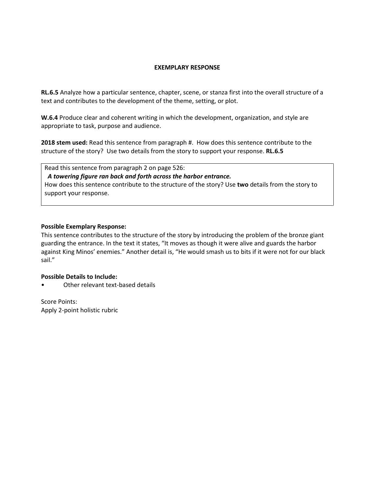#### **EXEMPLARY RESPONSE**

**RL.6.5** Analyze how a particular sentence, chapter, scene, or stanza first into the overall structure of a text and contributes to the development of the theme, setting, or plot.

**W.6.4** Produce clear and coherent writing in which the development, organization, and style are appropriate to task, purpose and audience.

**2018 stem used:** Read this sentence from paragraph #. How does this sentence contribute to the structure of the story? Use two details from the story to support your response. **RL.6.5**

Read this sentence from paragraph 2 on page 526:  *A towering figure ran back and forth across the harbor entrance.* How does this sentence contribute to the structure of the story? Use **two** details from the story to support your response.

#### **Possible Exemplary Response:**

This sentence contributes to the structure of the story by introducing the problem of the bronze giant guarding the entrance. In the text it states, "It moves as though it were alive and guards the harbor against King Minos' enemies." Another detail is, "He would smash us to bits if it were not for our black sail."

## **Possible Details to Include:**

Other relevant text-based details

Score Points: Apply 2-point holistic rubric